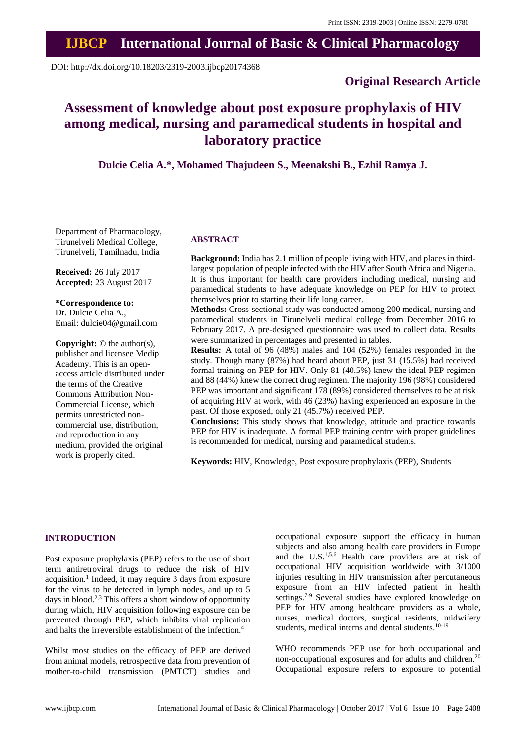# **IJBCP International Journal of Basic & Clinical Pharmacology**

DOI: http://dx.doi.org/10.18203/2319-2003.ijbcp20174368

# **Original Research Article**

# **Assessment of knowledge about post exposure prophylaxis of HIV among medical, nursing and paramedical students in hospital and laboratory practice**

**Dulcie Celia A.\*, Mohamed Thajudeen S., Meenakshi B., Ezhil Ramya J.**

Department of Pharmacology, Tirunelveli Medical College, Tirunelveli, Tamilnadu, India

**Received:** 26 July 2017 **Accepted:** 23 August 2017

**\*Correspondence to:** Dr. Dulcie Celia A., Email: dulcie04@gmail.com

**Copyright:** © the author(s), publisher and licensee Medip Academy. This is an openaccess article distributed under the terms of the Creative Commons Attribution Non-Commercial License, which permits unrestricted noncommercial use, distribution, and reproduction in any medium, provided the original work is properly cited.

# **ABSTRACT**

**Background:** India has 2.1 million of people living with HIV, and places in thirdlargest population of people infected with the HIV after South Africa and Nigeria. It is thus important for health care providers including medical, nursing and paramedical students to have adequate knowledge on PEP for HIV to protect themselves prior to starting their life long career.

**Methods:** Cross-sectional study was conducted among 200 medical, nursing and paramedical students in Tirunelveli medical college from December 2016 to February 2017. A pre-designed questionnaire was used to collect data. Results were summarized in percentages and presented in tables.

**Results:** A total of 96 (48%) males and 104 (52%) females responded in the study. Though many (87%) had heard about PEP, just 31 (15.5%) had received formal training on PEP for HIV. Only 81 (40.5%) knew the ideal PEP regimen and 88 (44%) knew the correct drug regimen. The majority 196 (98%) considered PEP was important and significant 178 (89%) considered themselves to be at risk of acquiring HIV at work, with 46 (23%) having experienced an exposure in the past. Of those exposed, only 21 (45.7%) received PEP.

**Conclusions:** This study shows that knowledge, attitude and practice towards PEP for HIV is inadequate. A formal PEP training centre with proper guidelines is recommended for medical, nursing and paramedical students.

**Keywords:** HIV, Knowledge, Post exposure prophylaxis (PEP), Students

### **INTRODUCTION**

Post exposure prophylaxis (PEP) refers to the use of short term antiretroviral drugs to reduce the risk of HIV acquisition. 1 Indeed, it may require 3 days from exposure for the virus to be detected in lymph nodes, and up to 5 days in blood.<sup>2,3</sup> This offers a short window of opportunity during which, HIV acquisition following exposure can be prevented through PEP, which inhibits viral replication and halts the irreversible establishment of the infection. 4

Whilst most studies on the efficacy of PEP are derived from animal models, retrospective data from prevention of mother-to-child transmission (PMTCT) studies and occupational exposure support the efficacy in human subjects and also among health care providers in Europe and the U.S.1,5,6 Health care providers are at risk of occupational HIV acquisition worldwide with 3/1000 injuries resulting in HIV transmission after percutaneous exposure from an HIV infected patient in health settings. 7-9 Several studies have explored knowledge on PEP for HIV among healthcare providers as a whole, nurses, medical doctors, surgical residents, midwifery students, medical interns and dental students.<sup>10-19</sup>

WHO recommends PEP use for both occupational and non-occupational exposures and for adults and children.<sup>20</sup> Occupational exposure refers to exposure to potential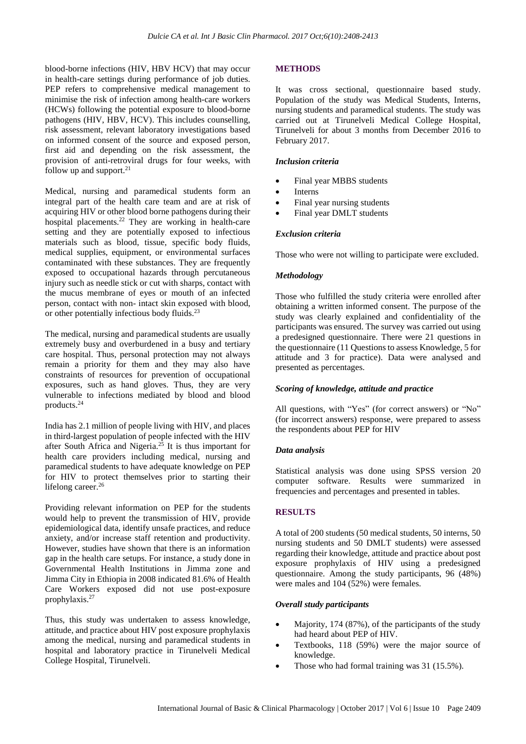blood-borne infections (HIV, HBV HCV) that may occur in health-care settings during performance of job duties. PEP refers to comprehensive medical management to minimise the risk of infection among health-care workers (HCWs) following the potential exposure to blood-borne pathogens (HIV, HBV, HCV). This includes counselling, risk assessment, relevant laboratory investigations based on informed consent of the source and exposed person, first aid and depending on the risk assessment, the provision of anti-retroviral drugs for four weeks, with follow up and support.<sup>21</sup>

Medical, nursing and paramedical students form an integral part of the health care team and are at risk of acquiring HIV or other blood borne pathogens during their hospital placements. <sup>22</sup> They are working in health-care setting and they are potentially exposed to infectious materials such as blood, tissue, specific body fluids, medical supplies, equipment, or environmental surfaces contaminated with these substances. They are frequently exposed to occupational hazards through percutaneous injury such as needle stick or cut with sharps, contact with the mucus membrane of eyes or mouth of an infected person, contact with non- intact skin exposed with blood, or other potentially infectious body fluids.<sup>23</sup>

The medical, nursing and paramedical students are usually extremely busy and overburdened in a busy and tertiary care hospital. Thus, personal protection may not always remain a priority for them and they may also have constraints of resources for prevention of occupational exposures, such as hand gloves. Thus, they are very vulnerable to infections mediated by blood and blood products. 24

India has 2.1 million of people living with HIV, and places in third-largest population of people infected with the HIV after South Africa and Nigeria. <sup>25</sup> It is thus important for health care providers including medical, nursing and paramedical students to have adequate knowledge on PEP for HIV to protect themselves prior to starting their lifelong career. 26

Providing relevant information on PEP for the students would help to prevent the transmission of HIV, provide epidemiological data, identify unsafe practices, and reduce anxiety, and/or increase staff retention and productivity. However, studies have shown that there is an information gap in the health care setups. For instance, a study done in Governmental Health Institutions in Jimma zone and Jimma City in Ethiopia in 2008 indicated 81.6% of Health Care Workers exposed did not use post-exposure prophylaxis. 27

Thus, this study was undertaken to assess knowledge, attitude, and practice about HIV post exposure prophylaxis among the medical, nursing and paramedical students in hospital and laboratory practice in Tirunelveli Medical College Hospital, Tirunelveli.

## **METHODS**

It was cross sectional, questionnaire based study. Population of the study was Medical Students, Interns, nursing students and paramedical students. The study was carried out at Tirunelveli Medical College Hospital, Tirunelveli for about 3 months from December 2016 to February 2017.

#### *Inclusion criteria*

- Final year MBBS students
- **Interns**
- Final year nursing students
- Final year DMLT students

#### *Exclusion criteria*

Those who were not willing to participate were excluded.

#### *Methodology*

Those who fulfilled the study criteria were enrolled after obtaining a written informed consent. The purpose of the study was clearly explained and confidentiality of the participants was ensured. The survey was carried out using a predesigned questionnaire. There were 21 questions in the questionnaire (11 Questionsto assess Knowledge, 5 for attitude and 3 for practice). Data were analysed and presented as percentages.

#### *Scoring of knowledge, attitude and practice*

All questions, with "Yes" (for correct answers) or "No" (for incorrect answers) response, were prepared to assess the respondents about PEP for HIV

#### *Data analysis*

Statistical analysis was done using SPSS version 20 computer software. Results were summarized in frequencies and percentages and presented in tables.

## **RESULTS**

A total of 200 students (50 medical students, 50 interns, 50 nursing students and 50 DMLT students) were assessed regarding their knowledge, attitude and practice about post exposure prophylaxis of HIV using a predesigned questionnaire. Among the study participants, 96 (48%) were males and 104 (52%) were females.

#### *Overall study participants*

- Majority, 174 (87%), of the participants of the study had heard about PEP of HIV.
- Textbooks, 118 (59%) were the major source of knowledge.
- Those who had formal training was 31 (15.5%).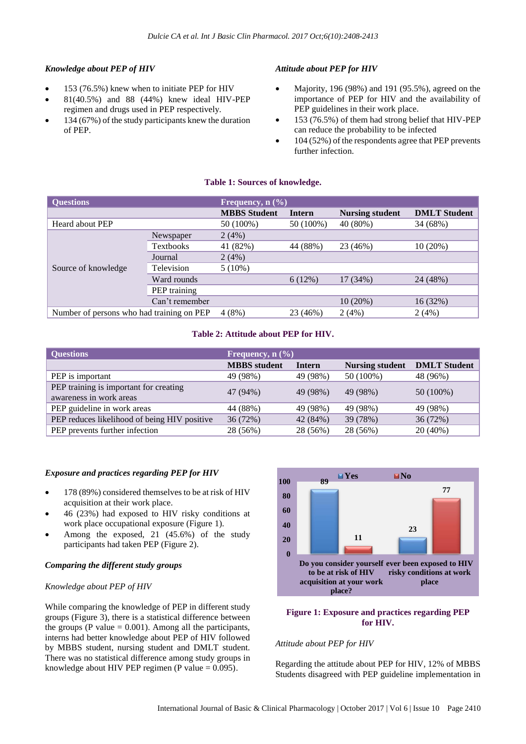## *Knowledge about PEP of HIV*

- 153 (76.5%) knew when to initiate PEP for HIV
- 81(40.5%) and 88 (44%) knew ideal HIV-PEP regimen and drugs used in PEP respectively.
- 134 (67%) of the study participants knew the duration of PEP.

#### *Attitude about PEP for HIV*

- Majority, 196 (98%) and 191 (95.5%), agreed on the importance of PEP for HIV and the availability of PEP guidelines in their work place.
- 153 (76.5%) of them had strong belief that HIV-PEP can reduce the probability to be infected
- 104 (52%) of the respondents agree that PEP prevents further infection.

#### **Table 1: Sources of knowledge.**

| <b>Questions</b>                          |                  | Frequency, $n$ $(\% )$ |           |                        |                     |  |
|-------------------------------------------|------------------|------------------------|-----------|------------------------|---------------------|--|
|                                           |                  | <b>MBBS</b> Student    | Intern    | <b>Nursing student</b> | <b>DMLT</b> Student |  |
| Heard about PEP                           |                  | 50 (100%)              | 50 (100%) | 40 (80%)               | 34 (68%)            |  |
| Source of knowledge                       | Newspaper        | 2(4%)                  |           |                        |                     |  |
|                                           | <b>Textbooks</b> | 41 (82%)               | 44 (88%)  | 23 (46%)               | 10(20%)             |  |
|                                           | Journal          | 2(4%)                  |           |                        |                     |  |
|                                           | Television       | $5(10\%)$              |           |                        |                     |  |
|                                           | Ward rounds      |                        | 6(12%)    | 17 (34%)               | 24 (48%)            |  |
|                                           | PEP training     |                        |           |                        |                     |  |
|                                           | Can't remember   |                        |           | $10(20\%)$             | 16(32%)             |  |
| Number of persons who had training on PEP |                  | 4(8%)                  | 23 (46%)  | 2(4%)                  | 2(4%)               |  |

#### **Table 2: Attitude about PEP for HIV.**

| <b>Questions</b>                                                  | Frequency, $n$ $(\frac{9}{6})$ |               |                        |                     |  |
|-------------------------------------------------------------------|--------------------------------|---------------|------------------------|---------------------|--|
|                                                                   | <b>MBBS</b> student            | <b>Intern</b> | <b>Nursing student</b> | <b>DMLT</b> Student |  |
| PEP is important                                                  | 49 (98%)                       | 49 (98%)      | 50 (100%)              | 48 (96%)            |  |
| PEP training is important for creating<br>awareness in work areas | 47 (94%)                       | 49 (98%)      | 49 (98%)               | $50(100\%)$         |  |
| PEP guideline in work areas                                       | 44 (88%)                       | 49 (98%)      | 49 (98%)               | 49 (98%)            |  |
| PEP reduces likelihood of being HIV positive                      | 36 (72%)                       | 42 (84%)      | 39 (78%)               | 36 (72%)            |  |
| PEP prevents further infection                                    | 28 (56%)                       | 28 (56%)      | 28 (56%)               | 20 (40%)            |  |

#### *Exposure and practices regarding PEP for HIV*

- 178 (89%) considered themselves to be at risk of HIV acquisition at their work place.
- 46 (23%) had exposed to HIV risky conditions at work place occupational exposure (Figure 1).
- Among the exposed, 21 (45.6%) of the study participants had taken PEP (Figure 2).

#### *Comparing the different study groups*

#### *Knowledge about PEP of HIV*

While comparing the knowledge of PEP in different study groups (Figure 3), there is a statistical difference between the groups (P value  $= 0.001$ ). Among all the participants, interns had better knowledge about PEP of HIV followed by MBBS student, nursing student and DMLT student. There was no statistical difference among study groups in knowledge about HIV PEP regimen (P value  $= 0.095$ ).



#### **Figure 1: Exposure and practices regarding PEP for HIV.**

#### *Attitude about PEP for HIV*

Regarding the attitude about PEP for HIV, 12% of MBBS Students disagreed with PEP guideline implementation in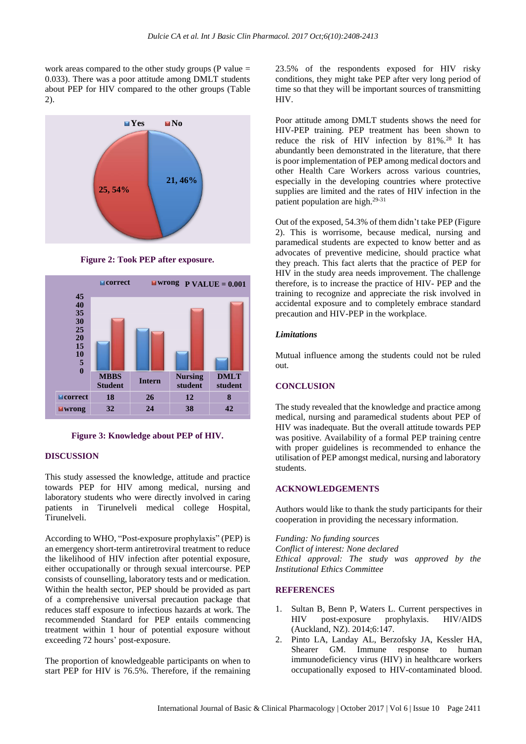work areas compared to the other study groups ( $P$  value  $=$ 0.033). There was a poor attitude among DMLT students about PEP for HIV compared to the other groups (Table 2).



**Figure 2: Took PEP after exposure.**



**Figure 3: Knowledge about PEP of HIV.**

#### **DISCUSSION**

This study assessed the knowledge, attitude and practice towards PEP for HIV among medical, nursing and laboratory students who were directly involved in caring patients in Tirunelveli medical college Hospital, Tirunelveli.

According to WHO, "Post-exposure prophylaxis" (PEP) is an emergency short-term antiretroviral treatment to reduce the likelihood of HIV infection after potential exposure, either occupationally or through sexual intercourse. PEP consists of counselling, laboratory tests and or medication. Within the health sector, PEP should be provided as part of a comprehensive universal precaution package that reduces staff exposure to infectious hazards at work. The recommended Standard for PEP entails commencing treatment within 1 hour of potential exposure without exceeding 72 hours' post-exposure.

The proportion of knowledgeable participants on when to start PEP for HIV is 76.5%. Therefore, if the remaining 23.5% of the respondents exposed for HIV risky conditions, they might take PEP after very long period of time so that they will be important sources of transmitting HIV.

Poor attitude among DMLT students shows the need for HIV-PEP training. PEP treatment has been shown to reduce the risk of HIV infection by 81%. <sup>28</sup> It has abundantly been demonstrated in the literature, that there is poor implementation of PEP among medical doctors and other Health Care Workers across various countries, especially in the developing countries where protective supplies are limited and the rates of HIV infection in the patient population are high. 29-31

Out of the exposed, 54.3% of them didn't take PEP (Figure 2). This is worrisome, because medical, nursing and paramedical students are expected to know better and as advocates of preventive medicine, should practice what they preach. This fact alerts that the practice of PEP for HIV in the study area needs improvement. The challenge therefore, is to increase the practice of HIV- PEP and the training to recognize and appreciate the risk involved in accidental exposure and to completely embrace standard precaution and HIV-PEP in the workplace.

#### *Limitations*

Mutual influence among the students could not be ruled out.

#### **CONCLUSION**

The study revealed that the knowledge and practice among medical, nursing and paramedical students about PEP of HIV was inadequate. But the overall attitude towards PEP was positive. Availability of a formal PEP training centre with proper guidelines is recommended to enhance the utilisation of PEP amongst medical, nursing and laboratory students.

#### **ACKNOWLEDGEMENTS**

Authors would like to thank the study participants for their cooperation in providing the necessary information.

*Funding: No funding sources Conflict of interest: None declared Ethical approval: The study was approved by the Institutional Ethics Committee*

#### **REFERENCES**

- 1. Sultan B, Benn P, Waters L. Current perspectives in HIV post-exposure prophylaxis. HIV/AIDS (Auckland, NZ). 2014;6:147.
- 2. Pinto LA, Landay AL, Berzofsky JA, Kessler HA, Shearer GM. Immune response to human immunodeficiency virus (HIV) in healthcare workers occupationally exposed to HIV-contaminated blood.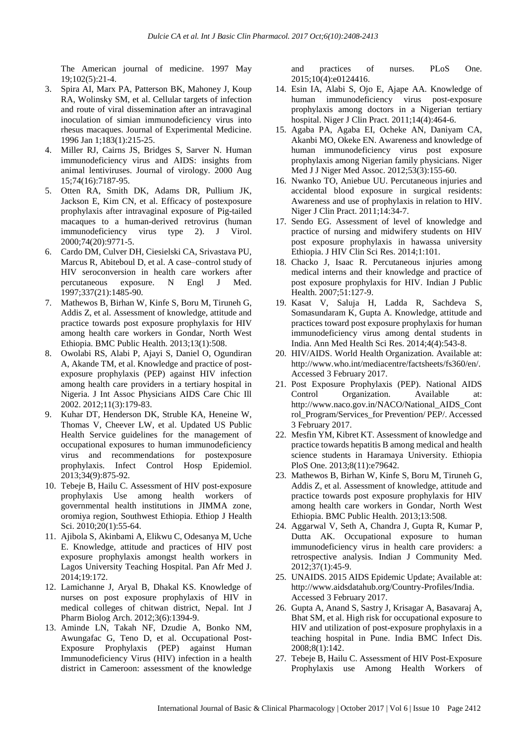The American journal of medicine. 1997 May 19;102(5):21-4.

- 3. Spira AI, Marx PA, Patterson BK, Mahoney J, Koup RA, Wolinsky SM, et al. Cellular targets of infection and route of viral dissemination after an intravaginal inoculation of simian immunodeficiency virus into rhesus macaques. Journal of Experimental Medicine. 1996 Jan 1;183(1):215-25.
- 4. Miller RJ, Cairns JS, Bridges S, Sarver N. Human immunodeficiency virus and AIDS: insights from animal lentiviruses. Journal of virology. 2000 Aug 15;74(16):7187-95.
- 5. Otten RA, Smith DK, Adams DR, Pullium JK, Jackson E, Kim CN, et al. Efficacy of postexposure prophylaxis after intravaginal exposure of Pig-tailed macaques to a human-derived retrovirus (human immunodeficiency virus type 2). J Virol. 2000;74(20):9771-5.
- 6. Cardo DM, Culver DH, Ciesielski CA, Srivastava PU, Marcus R, Abiteboul D, et al. A case–control study of HIV seroconversion in health care workers after percutaneous exposure. N Engl J Med. 1997;337(21):1485-90.
- 7. Mathewos B, Birhan W, Kinfe S, Boru M, Tiruneh G, Addis Z, et al. Assessment of knowledge, attitude and practice towards post exposure prophylaxis for HIV among health care workers in Gondar, North West Ethiopia. BMC Public Health. 2013;13(1):508.
- 8. Owolabi RS, Alabi P, Ajayi S, Daniel O, Ogundiran A, Akande TM, et al. Knowledge and practice of postexposure prophylaxis (PEP) against HIV infection among health care providers in a tertiary hospital in Nigeria. J Int Assoc Physicians AIDS Care Chic Ill 2002. 2012;11(3):179-83.
- 9. Kuhar DT, Henderson DK, Struble KA, Heneine W, Thomas V, Cheever LW, et al. Updated US Public Health Service guidelines for the management of occupational exposures to human immunodeficiency virus and recommendations for postexposure prophylaxis. Infect Control Hosp Epidemiol. 2013;34(9):875-92.
- 10. Tebeje B, Hailu C. Assessment of HIV post-exposure prophylaxis Use among health workers of governmental health institutions in JIMMA zone, oromiya region, Southwest Ethiopia. Ethiop J Health Sci. 2010;20(1):55-64.
- 11. Ajibola S, Akinbami A, Elikwu C, Odesanya M, Uche E. Knowledge, attitude and practices of HIV post exposure prophylaxis amongst health workers in Lagos University Teaching Hospital. Pan Afr Med J. 2014;19:172.
- 12. Lamichanne J, Aryal B, Dhakal KS. Knowledge of nurses on post exposure prophylaxis of HIV in medical colleges of chitwan district, Nepal. Int J Pharm Biolog Arch. 2012;3(6):1394-9.
- 13. Aminde LN, Takah NF, Dzudie A, Bonko NM, Awungafac G, Teno D, et al. Occupational Post-Exposure Prophylaxis (PEP) against Human Immunodeficiency Virus (HIV) infection in a health district in Cameroon: assessment of the knowledge

and practices of nurses. PLoS One. 2015;10(4):e0124416.

- 14. Esin IA, Alabi S, Ojo E, Ajape AA. Knowledge of human immunodeficiency virus post-exposure prophylaxis among doctors in a Nigerian tertiary hospital. Niger J Clin Pract. 2011;14(4):464-6.
- 15. Agaba PA, Agaba EI, Ocheke AN, Daniyam CA, Akanbi MO, Okeke EN. Awareness and knowledge of human immunodeficiency virus post exposure prophylaxis among Nigerian family physicians. Niger Med J J Niger Med Assoc. 2012;53(3):155-60.
- 16. Nwanko TO, Aniebue UU. Percutaneous injuries and accidental blood exposure in surgical residents: Awareness and use of prophylaxis in relation to HIV. Niger J Clin Pract. 2011;14:34-7.
- 17. Sendo EG. Assessment of level of knowledge and practice of nursing and midwifery students on HIV post exposure prophylaxis in hawassa university Ethiopia. J HIV Clin Sci Res. 2014;1:101.
- 18. Chacko J, Isaac R. Percutaneous injuries among medical interns and their knowledge and practice of post exposure prophylaxis for HIV. Indian J Public Health. 2007;51:127-9.
- 19. Kasat V, Saluja H, Ladda R, Sachdeva S, Somasundaram K, Gupta A. Knowledge, attitude and practices toward post exposure prophylaxis for human immunodeficiency virus among dental students in India. Ann Med Health Sci Res. 2014;4(4):543-8.
- 20. HIV/AIDS. World Health Organization. Available at: http://www.who.int/mediacentre/factsheets/fs360/en/. Accessed 3 February 2017.
- 21. Post Exposure Prophylaxis (PEP). National AIDS Control Organization. Available at: http://www.naco.gov.in/NACO/National\_AIDS\_Cont rol\_Program/Services\_for Prevention/ PEP/. Accessed 3 February 2017.
- 22. Mesfin YM, Kibret KT. Assessment of knowledge and practice towards hepatitis B among medical and health science students in Haramaya University. Ethiopia PloS One. 2013;8(11):e79642.
- 23. Mathewos B, Birhan W, Kinfe S, Boru M, Tiruneh G, Addis Z, et al. Assessment of knowledge, attitude and practice towards post exposure prophylaxis for HIV among health care workers in Gondar, North West Ethiopia. BMC Public Health. 2013;13:508.
- 24. Aggarwal V, Seth A, Chandra J, Gupta R, Kumar P, Dutta AK. Occupational exposure to human immunodeficiency virus in health care providers: a retrospective analysis. Indian J Community Med. 2012;37(1):45-9.
- 25. UNAIDS. 2015 AIDS Epidemic Update; Available at: http://www.aidsdatahub.org/Country-Profiles/India. Accessed 3 February 2017.
- 26. Gupta A, Anand S, Sastry J, Krisagar A, Basavaraj A, Bhat SM, et al. High risk for occupational exposure to HIV and utilization of post-exposure prophylaxis in a teaching hospital in Pune. India BMC Infect Dis. 2008;8(1):142.
- 27. Tebeje B, Hailu C. Assessment of HIV Post-Exposure Prophylaxis use Among Health Workers of